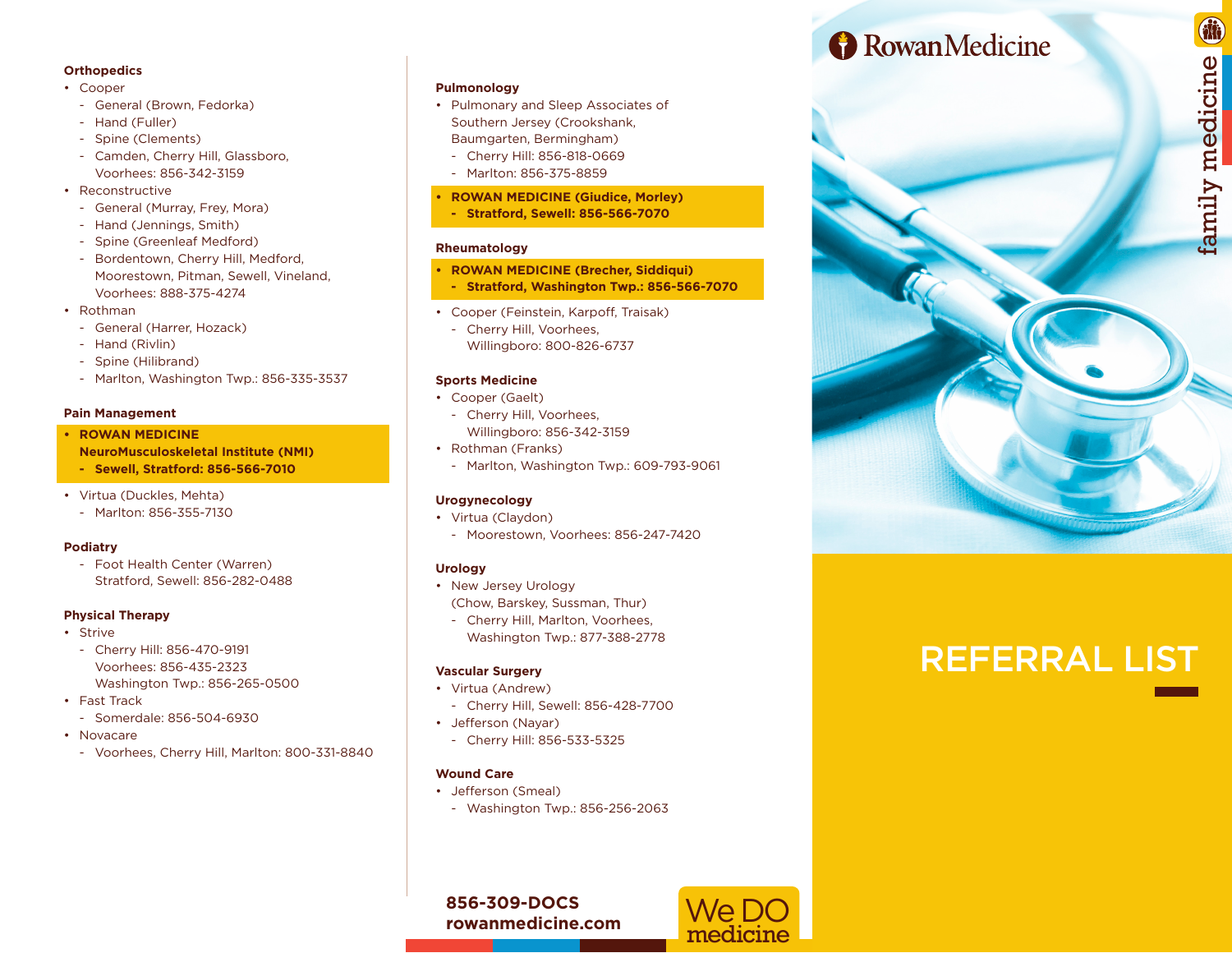#### **Orthopedics**

- Cooper
	- General (Brown, Fedorka)
	- Hand (Fuller)
	- Spine (Clements)
	- Camden, Cherry Hill, Glassboro, Voorhees: 856-342-3159
- Reconstructive
	- General (Murray, Frey, Mora)
	- Hand (Jennings, Smith)
	- Spine (Greenleaf Medford)
	- Bordentown, Cherry Hill, Medford, Moorestown, Pitman, Sewell, Vineland, Voorhees: 888-375-4274
- Rothman
	- General (Harrer, Hozack)
	- Hand (Rivlin)
	- Spine (Hilibrand)
	- Marlton, Washington Twp.: 856-335-3537

#### **Pain Management**

- **• ROWAN MEDICINE**
- **NeuroMusculoskeletal Institute (NMI)**
- **- Sewell, Stratford: 856-566-7010**
- Virtua (Duckles, Mehta)
	- Marlton: 856-355-7130

#### **Podiatry**

- Foot Health Center (Warren) Stratford, Sewell: 856-282-0488

# **Physical Therapy**

- Strive
	- Cherry Hill: 856-470-9191 Voorhees: 856-435-2323 Washington Twp.: 856-265-0500
- Fast Track
	- Somerdale: 856-504-6930
- Novacare
	- Voorhees, Cherry Hill, Marlton: 800-331-8840

# **Pulmonology**

- Pulmonary and Sleep Associates of Southern Jersey (Crookshank, Baumgarten, Bermingham)
	- Cherry Hill: 856-818-0669 - Marlton: 856-375-8859
	-
- **• ROWAN MEDICINE (Giudice, Morley) - Stratford, Sewell: 856-566-7070**

# **Rheumatology**

- **• ROWAN MEDICINE (Brecher, Siddiqui)**
- **- Stratford, Washington Twp.: 856-566-7070**
- Cooper (Feinstein, Karpoff, Traisak)
- Cherry Hill, Voorhees, Willingboro: 800-826-6737

# **Sports Medicine**

- Cooper (Gaelt) - Cherry Hill, Voorhees,
- Willingboro: 856-342-3159 • Rothman (Franks)
	- Marlton, Washington Twp.: 609-793-9061

# **Urogynecology**

- Virtua (Claydon)
- Moorestown, Voorhees: 856-247-7420

# **Urology**

- New Jersey Urology (Chow, Barskey, Sussman, Thur)
	- Cherry Hill, Marlton, Voorhees, Washington Twp.: 877-388-2778

# **Vascular Surgery**

- Virtua (Andrew)
	- Cherry Hill, Sewell: 856-428-7700
- Jefferson (Nayar)
- Cherry Hill: 856-533-5325

# **Wound Care**

- Jefferson (Smeal)
	- Washington Twp.: 856-256-2063

We DO medicine

**856-309-DOCS rowanmedicine.com**

# **B** Rowan Medicine



# REFERRAL LIST